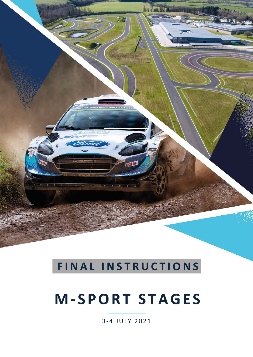

# **FINAL INSTRUCTIONS**

# **M- SPORT STAGES**

3- 4 JULY 2021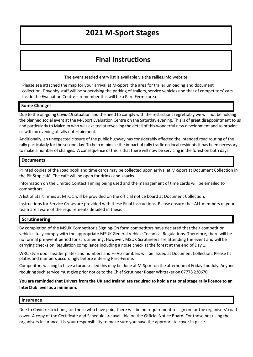### **2021 M-Sport Stages**

### **Final Instructions**

The event seeded entry list is available via the rallies.info website.

Please see attached the map for your arrival at M-Sport, the area for trailer unloading and document collection. Dovenby staff will be supervising the parking of trailers, service vehicles and that of competitors' cars inside the Evaluation Centre – remember this will be a Parc-Ferme area.

### **Some Changes**

Due to the on-going Covid-19 situation and the need to comply with the restrictions regrettably we will not be holding the planned social event at the M-Sport Evaluation Centre on the Saturday evening. This is of great disappointment to us and particularly to Malcolm who was excited at revealing the detail of this wonderful new development and to provide us with an evening of rally entertainment.

Additionally, an unexpected closure of the public highway has considerably affected the intended road routing of the rally particularly for the second day. To help minimise the impact of rally traffic on local residents it has been necessary to make a number of changes. A consequence of this is that there will now be servicing in the forest on both days.

### **Documents**

Printed copies of the road book and time cards may be collected upon arrival at M-Sport at Document Collection in the Pit Stop café. The café will be open for drinks and snacks.

Information on the Limited Contact Timing being used and the management of time cards will be emailed to competitors.

A list of Start Times at MTC 1 will be provided on the official notice board at Document Collection.

Instructions for Service Crews are provided with these Final Instructions. Please ensure that ALL members of your team are aware of the requirements detailed in these.

### **Scrutineering**

By completion of the MSUK Competitor's Signing-On form competitors have declared that their competition vehicles fully comply with the appropriate MSUK General Vehicle Technical Regulations. Therefore, there will be no formal pre-event period for scrutineering. However, MSUK Scrutineers are attending the event and will be carrying checks on Regulation compliance including a noise check at the forest at the end of Day 1.

WRC style door header plates and numbers and Hi-Viz numbers will be issued at Document Collection. Please fit plates and numbers accordingly before entering Parc-Ferme.

Competitors wishing to have a turbo sealed this may be done at M-Sport on the afternoon of Friday 2nd July. Anyone requiring such service must give prior notice to the Chief Scrutineer Roger Whittaker on 07778 230670.

**You are reminded that Drivers from the UK and Ireland are required to hold a national stage rally licence to an InterClub level as a minimum.** 

### **Insurance**

Due to Covid restrictions, for those who have paid, there will be no requirement to sign on for the organisers' road cover. A copy of the Certificate and Schedule are available on the Official Notice Board. For those not using the organisers insurance it is your responsibility to make sure you have the appropriate cover in place.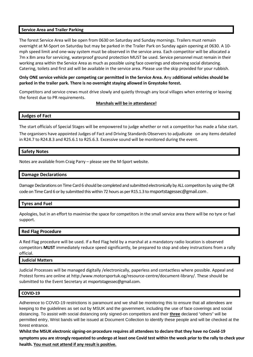### **Service Area and Trailer Parking**

The forest Service Area will be open from 0630 on Saturday and Sunday mornings. Trailers must remain overnight at M-Sport on Saturday but may be parked in the Trailer Park on Sunday again opening at 0630. A 10 mph speed limit and one-way system must be observed in the service area. Each competitor will be allocated a 7m x 8m area for servicing, waterproof ground protection MUST be used. Service personnel must remain in their working area within the Service Area as much as possible using face coverings and observing social distancing. Catering, toilets and first aid will be available in the service area. Please use the skip provided for your rubbish.

**Only ONE service vehicle per competing car permitted in the Service Area. A**ny a**dditional vehicles should be parked in the trailer park. There is no overnight staying allowed in Greystoke forest.** 

Competitors and service crews must drive slowly and quietly through any local villages when entering or leaving the forest due to PR requirements.

**Marshals will be in attendance!**

### **Judges of Fact**

The start officials of Special Stages will be empowered to judge whether or not a competitor has made a false start. The organisers have appointed Judges of Fact and Driving Standards Observers to adjudicate on any items detailed in R24.7 to R24.8.3 and R25.6.1 to R25.6.3. Excessive sound will be monitored during the event.

### **Safety Notes**

Notes are available from Craig Parry – please see the M-Sport website.

#### **Damage Declarations**

Damage Declarations on Time Card 6 should be completed and submitted electronically by ALL competitors by using the QR code on Time Card 6 or by submitted this within 72 hours as per R15.1.3 t[o msportstagessec@gmail.com](mailto:msportstagessec@gmail.com).

#### **Tyres and Fuel**

Apologies, but in an effort to maximise the space for competitors in the small service area there will be no tyre or fuel support.

### **Red Flag Procedure**

A Red Flag procedure will be used. If a Red Flag held by a marshal at a mandatory radio location is observed competitors **MUST** immediately reduce speed significantly, be prepared to stop and obey instructions from a rally official.

#### **Judicial Matters**

Judicial Processes will be managed digitally /electronically, paperless and contactless where possible. Appeal and Protest forms are online at http:/www.motorsportuk.og/resource-centre/document-library/. These should be submitted to the Event Secretary at [msportstagessec@gmail.com.](mailto:msportstagessec@gmail.com)

#### **COVID-19**

Adherence to COVID-19 restrictions is paramount and we shall be monitoring this to ensure that all attendees are keeping to the guidelines as set out by MSUK and the government, including the use of face coverings and social distancing. To assist with social distancing only signed-on competitors and their **three** declared "others" will be permitted entry, Wrist bands will be issued at Document Collection to identify these people and will be checked at the forest entrance.

**Whilst the MSUK electronic signing-on procedure requires all attendees to declare that they have no Covid-19 symptoms you are strongly requested to undergo at least one Covid test within the week prior to the rally to check your health. You must not attend if any result is positive.**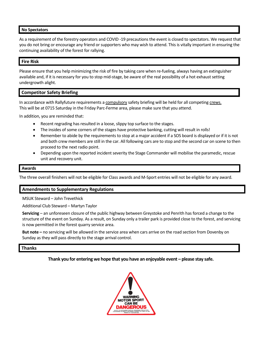### **No Spectators**

As a requirement of the forestry operators and COVID -19 precautions the event is closed to spectators. We request that you do not bring or encourage any friend or supporters who may wish to attend. This is vitally important in ensuring the continuing availability of the forest for rallying.

### **Fire Risk**

Please ensure that you help minimizing the risk of fire by taking care when re-fueling, always having an extinguisher available and, if it is necessary for you to stop mid-stage, be aware of the real possibility of a hot exhaust setting undergrowth alight.

### **Competitor Safety Briefing**

In accordance with Rallyfuture requirements a compulsory safety briefing will be held for all competing crews. This will be at 0715 Saturday in the Friday Parc-Ferme area, please make sure that you attend.

In addition, you are reminded that:

- Recent regrading has resulted in a loose, slippy top surface to the stages.
- The insides of some corners of the stages have protective banking, cutting will result in rolls!
- Remember to abide by the requirements to stop at a major accident if a SOS board is displayed or if it is not and both crew members are still in the car. All following cars are to stop and the second car on scene to then proceed to the next radio point.
- Depending upon the reported incident severity the Stage Commander will mobilise the paramedic, rescue unit and recovery unit.

### **Awards**

The three overall finishers will not be eligible for Class awards and M-Sport entries will not be eligible for any award.

### **Amendments to Supplementary Regulations**

MSUK Steward – John Trevethick

Additional Club Steward – Martyn Taylor

**Servicing** – an unforeseen closure of the public highway between Greystoke and Penrith has forced a change to the structure of the event on Sunday. As a result, on Sunday only a trailer park is provided close to the forest, and servicing is now permitted in the forest quarry service area.

**But note –** no servicing will be allowed in the service area when cars arrive on the road section from Dovenby on Sunday as they will pass directly to the stage arrival control.

### **Thanks**

**Thank you for entering we hope that you have an enjoyable event – please stay safe.**

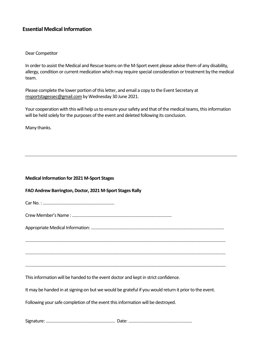### **Essential Medical Information**

### Dear Competitor

In order to assist the Medical and Rescue teams on the M-Sport event please advise them of any disability, allergy, condition or current medication which may require special consideration or treatment by the medical team.

Please complete the lower portion of this letter, and email a copy to the Event Secretary at msportstagessec@gmail.com by Wednesday 30 June 2021.

Your cooperation with this will help us to ensure your safety and that of the medical teams, this information will be held solely for the purposes of the event and deleted following its conclusion.

Many thanks.

| <b>Medical Information for 2021 M-Sport Stages</b>                                                    |  |  |  |
|-------------------------------------------------------------------------------------------------------|--|--|--|
| FAO Andrew Barrington, Doctor, 2021 M-Sport Stages Rally                                              |  |  |  |
|                                                                                                       |  |  |  |
|                                                                                                       |  |  |  |
|                                                                                                       |  |  |  |
|                                                                                                       |  |  |  |
|                                                                                                       |  |  |  |
|                                                                                                       |  |  |  |
| This information will be handed to the event doctor and kept in strict confidence.                    |  |  |  |
| It may be handed in at signing-on but we would be grateful if you would return it prior to the event. |  |  |  |
| Following your safe completion of the event this information will be destroyed.                       |  |  |  |
|                                                                                                       |  |  |  |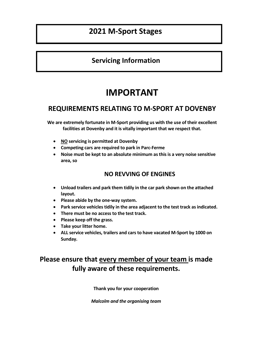### **2021 M-Sport Stages**

### **Servicing Information**

## **IMPORTANT**

### **REQUIREMENTS RELATING TO M-SPORT AT DOVENBY**

**We are extremely fortunate in M-Sport providing us with the use of their excellent facilities at Dovenby and it is vitally important that we respect that.** 

- **NO servicing is permitted at Dovenby**
- **Competing cars are required to park in Parc-Ferme**
- **Noise must be kept to an absolute minimum as this is a very noise sensitive area, so**

### **NO REVVING OF ENGINES**

- **Unload trailers and park them tidily in the car park shown on the attached layout.**
- **Please abide by the one-way system.**
- **Park service vehicles tidily in the area adjacent to the test track as indicated.**
- **There must be no access to the test track.**
- **Please keep off the grass.**
- **Take your litter home.**
- **ALL service vehicles, trailers and cars to have vacated M-Sport by 1000 on Sunday.**

### **Please ensure that every member of your team is made fully aware of these requirements.**

**Thank you for your cooperation** 

*Malcolm and the organising team*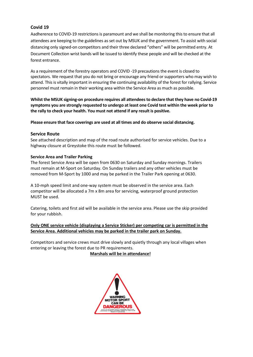### **Covid 19**

Aadherence to COVID-19 restrictions is paramount and we shall be monitoring this to ensure that all attendees are keeping to the guidelines as set out by MSUK and the government. To assist with social distancing only signed-on competitors and their three declared "others" will be permitted entry. At Document Collection wrist bands will be issued to identify these people and will be checked at the forest entrance.

As a requirement of the forestry operators and COVID -19 precautions the event is closed to spectators. We request that you do not bring or encourage any friend or supporters who may wish to attend. This is vitally important in ensuring the continuing availability of the forest for rallying. Service personnel must remain in their working area within the Service Area as much as possible.

**Whilst the MSUK signing-on procedure requires all attendees to declare that they have no Covid-19 symptoms you are strongly requested to undergo at least one Covid test within the week prior to the rally to check your health. You must not attend if any result is positive.**

**Please ensure that face coverings are used at all times and do observe social distancing.**

### **Service Route**

See attached description and map of the road route authorised for service vehicles. Due to a highway closure at Greystoke this route must be followed.

#### **Service Area and Trailer Parking**

The forest Service Area will be open from 0630 on Saturday and Sunday mornings. Trailers must remain at M-Sport on Saturday. On Sunday trailers and any other vehicles must be removed from M-Sport by 1000 and may be parked in the Trailer Park opening at 0630.

A 10-mph speed limit and one-way system must be observed in the service area. Each competitor will be allocated a 7m x 8m area for servicing, waterproof ground protection MUST be used.

Catering, toilets and first aid will be available in the service area. Please use the skip provided for your rubbish.

### **Only ONE service vehicle (displaying a Service Sticker) per competing car is permitted in the Service Area. Additional vehicles may be parked in the trailer park on Sunday.**

Competitors and service crews must drive slowly and quietly through any local villages when entering or leaving the forest due to PR requirements.

**Marshals will be in attendance!**

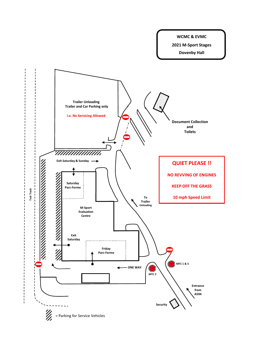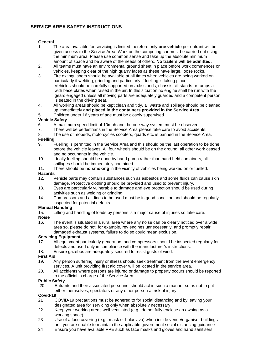### **SERVICE AREA SAFETY INSTRUCTIONS**

#### **General**

- 1. The area available for servicing is limited therefore only **one vehicle** per entrant will be given access to the Service Area. Work on the competing car must be carried out using the minimum area. Please use common sense and take up the absolute minimum amount of space and be aware of the needs of others. **No trailers will be admitted.**
- 2. All teams must have an environmental ground sheet in place before work commences on vehicles, keeping clear of the high quarry faces as these have large, loose rocks.
- 3. Fire extinguishers should be available at all times when vehicles are being worked on particularly if welding, grinding and particularly if fuelling is taking place. Vehicles should be carefully supported on axle stands, chassis cill stands or ramps all with base plates when raised in the air. In this situation no engine shall be run with the gears engaged unless all moving parts are adequately guarded and a competent person is seated in the driving seat.
- 4. All working areas should be kept clean and tidy, all waste and spillage should be cleaned up immediately **and placed in the containers provided in the Service Area.**
- 5. Children under 16 years of age must be closely supervised.

#### **Vehicle Safety**

- 6. A maximum speed limit of 10mph and the one-way system must be observed.<br>There will be pedestrians in the Service Area please take care to avoid accider
- 7. There will be pedestrians in the Service Area please take care to avoid accidents.
- 8. The use of mopeds, motorcycles scooters, quads etc. is banned in the Service Area.

#### **Fuelling**

- 9. Fuelling is permitted in the Service Area and this should be the last operation to be done before the vehicle leaves. All four wheels should be on the ground, all other work ceased and no occupants in the vehicle.
- 10. Ideally fuelling should be done by hand pump rather than hand held containers, all spillages should be immediately contained.
- 11. There should be **no smoking** in the vicinity of vehicles being worked on or fuelled.
- Hazards<br>12. Vehicle parts may contain substances such as asbestos and some fluids can cause skin damage. Protective clothing should be provided and used to prevent injury.
- 13. Eyes are particularly vulnerable to damage and eye protection should be used during activities such as welding or grinding.
- 14. Compressors and air lines to be used must be in good condition and should be regularly inspected for potential defects.

### **Manual Handling**<br>15. Lifting and

Lifting and handling of loads by persons is a major cause of injuries so take care.

#### **Noise**

16. The event is situated in a rural area where any noise can be clearly noticed over a wide area so, please do not, for example, rev engines unnecessarily, and promptly repair damaged exhaust systems, failure to do so could mean exclusion.

### **Servicing Equipment**

- 17. All equipment particularly generators and compressors should be inspected regularly for defects and used only in compliance with the manufacturer's instructions.
- 18. Ensure gazebos are adequately secured to resist gusts of wind.

#### **First Aid**

- 19. Any person suffering injury or illness should seek treatment from the event emergency services. A unit providing first aid cover will be located in the service area.
- 20. All accidents where persons are injured or damage to property occurs should be reported to the official in charge of the Service Area.

### **Public Safety**<br>20 Entra

20 Entrants and their associated personnel should act in such a manner so as not to put either themselves, spectators or any other person at risk of injury.

### **Covid-19**<br>21

- 21 COVID-19 precautions must be adhered to for social distancing and by leaving your designated area for servicing only when absolutely necessary.
- 22 Keep your working areas well-ventilated (e.g., do not fully enclose an awning as a working space).
- 23 Use of a face covering (e.g., mask or balaclava) when inside venue/organiser buildings or if you are unable to maintain the applicable government social distancing guidance
- 24 Ensure you have available PPE such as face masks and gloves and hand sanitisers.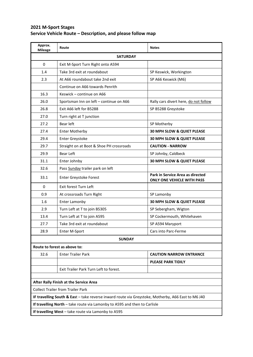### **2021 M-Sport Stages Service Vehicle Route – Description, and please follow map**

| Approx.<br><b>Mileage</b>                                                                                                        | Route                                    | <b>Notes</b>                                                          |  |
|----------------------------------------------------------------------------------------------------------------------------------|------------------------------------------|-----------------------------------------------------------------------|--|
| <b>SATURDAY</b>                                                                                                                  |                                          |                                                                       |  |
| 0                                                                                                                                | Exit M-Sport Turn Right onto A594        |                                                                       |  |
| 1.4                                                                                                                              | Take 3rd exit at roundabout              | SP Keswick, Workington                                                |  |
| 2.3                                                                                                                              | At A66 roundabout take 2nd exit          | SP A66 Keswick (M6)                                                   |  |
|                                                                                                                                  | Continue on A66 towards Penrith          |                                                                       |  |
| 16.3                                                                                                                             | Keswick - continue on A66                |                                                                       |  |
| 26.0                                                                                                                             | Sportsman Inn on left - continue on A66  | Rally cars divert here, do not follow                                 |  |
| 26.8                                                                                                                             | Exit A66 left for B5288                  | SP B5288 Greystoke                                                    |  |
| 27.0                                                                                                                             | Turn right at T junction                 |                                                                       |  |
| 27.2                                                                                                                             | Bear left                                | SP Motherby                                                           |  |
| 27.4                                                                                                                             | <b>Enter Motherby</b>                    | 30 MPH SLOW & QUIET PLEASE                                            |  |
| 29.4                                                                                                                             | Enter Greystoke                          | <b>30 MPH SLOW &amp; QUIET PLEASE</b>                                 |  |
| 29.7                                                                                                                             | Straight on at Boot & Shoe PH crossroads | <b>CAUTION - NARROW</b>                                               |  |
| 29.9                                                                                                                             | Bear Left                                | SP Johnby, Caldbeck                                                   |  |
| 31.1                                                                                                                             | Enter Johnby                             | 30 MPH SLOW & QUIET PLEASE                                            |  |
| 32.6                                                                                                                             | Pass Sunday trailer park on left         |                                                                       |  |
| 33.1                                                                                                                             | Enter Greystoke Forest                   | Park in Service Area as directed<br><b>ONLY ONE VEHICLE WITH PASS</b> |  |
| $\pmb{0}$                                                                                                                        | Exit forest Turn Left                    |                                                                       |  |
| 0.9                                                                                                                              | At crossroads Turn Right                 | SP Lamonby                                                            |  |
| 1.6                                                                                                                              | <b>Enter Lamonby</b>                     | 30 MPH SLOW & QUIET PLEASE                                            |  |
| 2.9                                                                                                                              | Turn Left at T to join B5305             | SP Sebergham, Wigton                                                  |  |
| 13.4                                                                                                                             | Turn Left at T to join A595              | SP Cockermouth, Whitehaven                                            |  |
| 27.7                                                                                                                             | Take 3rd exit at roundabout              | SP A594 Maryport                                                      |  |
| 28.9                                                                                                                             | Enter M-Sport                            | Cars into Parc-Ferme                                                  |  |
| <b>SUNDAY</b>                                                                                                                    |                                          |                                                                       |  |
| Route to forest as above to:                                                                                                     |                                          |                                                                       |  |
| 32.6                                                                                                                             | <b>Enter Trailer Park</b>                | <b>CAUTION NARROW ENTRANCE</b>                                        |  |
|                                                                                                                                  |                                          | <b>PLEASE PARK TIDILY</b>                                             |  |
|                                                                                                                                  | Exit Trailer Park Turn Left to forest.   |                                                                       |  |
|                                                                                                                                  |                                          |                                                                       |  |
| After Rally Finish at the Service Area                                                                                           |                                          |                                                                       |  |
| <b>Collect Trailer from Trailer Park</b>                                                                                         |                                          |                                                                       |  |
| IF travelling South & East - take reverse inward route via Greystoke, Motherby, A66 East to M6 J40                               |                                          |                                                                       |  |
| If travelling North - take route via Lamonby to A595 and then to Carlisle<br>If travelling West - take route via Lamonby to A595 |                                          |                                                                       |  |